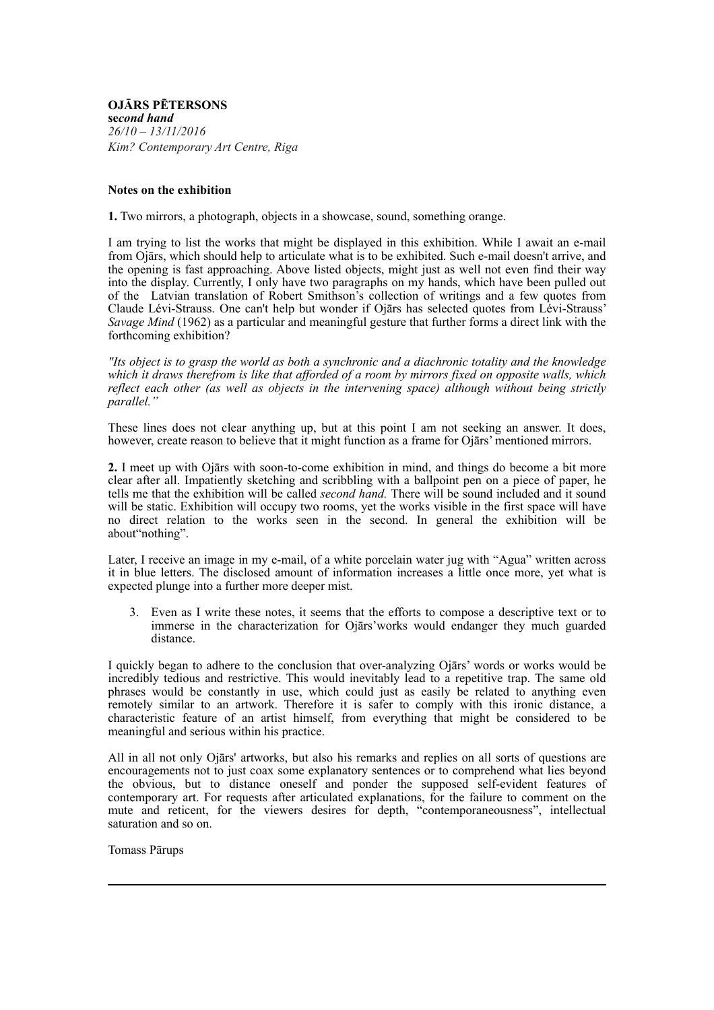**OJĀRS PĒTERSONS se***cond hand 26/10 – 13/11/2016 Kim? Contemporary Art Centre, Riga*

## **Notes on the exhibition**

**1.** Two mirrors, a photograph, objects in a showcase, sound, something orange.

I am trying to list the works that might be displayed in this exhibition. While I await an e-mail from Ojārs, which should help to articulate what is to be exhibited. Such e-mail doesn't arrive, and the opening is fast approaching. Above listed objects, might just as well not even find their way into the display. Currently, I only have two paragraphs on my hands, which have been pulled out of the Latvian translation of Robert Smithson's collection of writings and a few quotes from Claude Lévi-Strauss. One can't help but wonder if Ojārs has selected quotes from Lévi-Strauss' *Savage Mind* (1962) as a particular and meaningful gesture that further forms a direct link with the forthcoming exhibition?

*"Its object is to grasp the world as both a synchronic and a diachronic totality and the knowledge which it draws therefrom is like that afforded of a room by mirrors fixed on opposite walls, which reflect each other (as well as objects in the intervening space) although without being strictly parallel."*

These lines does not clear anything up, but at this point I am not seeking an answer. It does, however, create reason to believe that it might function as a frame for Ojārs' mentioned mirrors.

**2.** I meet up with Ojārs with soon-to-come exhibition in mind, and things do become a bit more clear after all. Impatiently sketching and scribbling with a ballpoint pen on a piece of paper, he tells me that the exhibition will be called *second hand.* There will be sound included and it sound will be static. Exhibition will occupy two rooms, yet the works visible in the first space will have no direct relation to the works seen in the second. In general the exhibition will be about"nothing".

Later, I receive an image in my e-mail, of a white porcelain water jug with "Agua" written across it in blue letters. The disclosed amount of information increases a little once more, yet what is expected plunge into a further more deeper mist.

3. Even as I write these notes, it seems that the efforts to compose a descriptive text or to immerse in the characterization for Ojārs'works would endanger they much guarded distance.

I quickly began to adhere to the conclusion that over-analyzing Ojārs' words or works would be incredibly tedious and restrictive. This would inevitably lead to a repetitive trap. The same old phrases would be constantly in use, which could just as easily be related to anything even remotely similar to an artwork. Therefore it is safer to comply with this ironic distance, a characteristic feature of an artist himself, from everything that might be considered to be meaningful and serious within his practice.

All in all not only Ojārs' artworks, but also his remarks and replies on all sorts of questions are encouragements not to just coax some explanatory sentences or to comprehend what lies beyond the obvious, but to distance oneself and ponder the supposed self-evident features of contemporary art. For requests after articulated explanations, for the failure to comment on the mute and reticent, for the viewers desires for depth, "contemporaneousness", intellectual saturation and so on.

Tomass Pārups